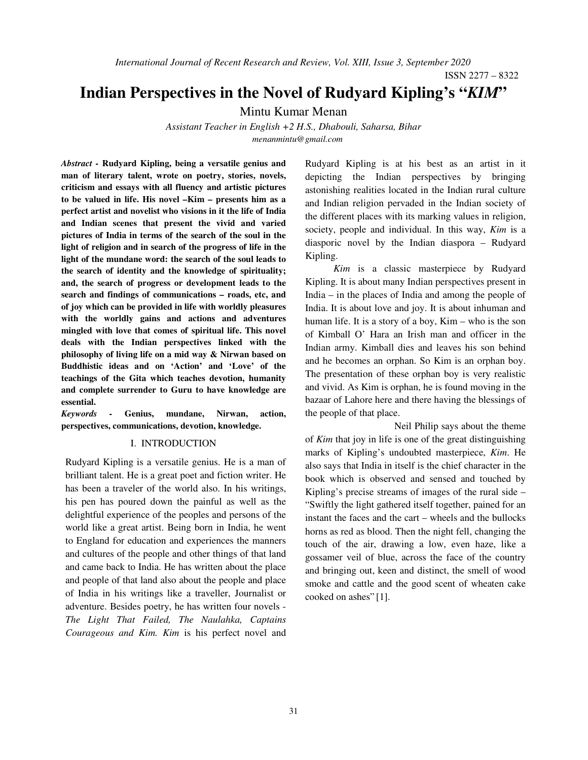ISSN 2277 – 8322

# **Indian Perspectives in the Novel of Rudyard Kipling's "***KIM***"**

Mintu Kumar Menan

*Assistant Teacher in English +2 H.S., Dhabouli, Saharsa, Bihar menanmintu@gmail.com*

*Abstract -* **Rudyard Kipling, being a versatile genius and man of literary talent, wrote on poetry, stories, novels, criticism and essays with all fluency and artistic pictures to be valued in life. His novel –Kim – presents him as a perfect artist and novelist who visions in it the life of India and Indian scenes that present the vivid and varied pictures of India in terms of the search of the soul in the light of religion and in search of the progress of life in the light of the mundane word: the search of the soul leads to the search of identity and the knowledge of spirituality; and, the search of progress or development leads to the search and findings of communications – roads, etc, and of joy which can be provided in life with worldly pleasures with the worldly gains and actions and adventures mingled with love that comes of spiritual life. This novel deals with the Indian perspectives linked with the philosophy of living life on a mid way & Nirwan based on Buddhistic ideas and on 'Action' and 'Love' of the teachings of the Gita which teaches devotion, humanity and complete surrender to Guru to have knowledge are essential.** 

*Keywords -* **Genius, mundane, Nirwan, action, perspectives, communications, devotion, knowledge.** 

## I. INTRODUCTION

Rudyard Kipling is a versatile genius. He is a man of brilliant talent. He is a great poet and fiction writer. He has been a traveler of the world also. In his writings, his pen has poured down the painful as well as the delightful experience of the peoples and persons of the world like a great artist. Being born in India, he went to England for education and experiences the manners and cultures of the people and other things of that land and came back to India. He has written about the place and people of that land also about the people and place of India in his writings like a traveller, Journalist or adventure. Besides poetry, he has written four novels - *The Light That Failed, The Naulahka, Captains Courageous and Kim. Kim* is his perfect novel and

Rudyard Kipling is at his best as an artist in it depicting the Indian perspectives by bringing astonishing realities located in the Indian rural culture and Indian religion pervaded in the Indian society of the different places with its marking values in religion, society, people and individual. In this way, *Kim* is a diasporic novel by the Indian diaspora – Rudyard Kipling.

*Kim* is a classic masterpiece by Rudyard Kipling. It is about many Indian perspectives present in India – in the places of India and among the people of India. It is about love and joy. It is about inhuman and human life. It is a story of a boy, Kim – who is the son of Kimball O' Hara an Irish man and officer in the Indian army. Kimball dies and leaves his son behind and he becomes an orphan. So Kim is an orphan boy. The presentation of these orphan boy is very realistic and vivid. As Kim is orphan, he is found moving in the bazaar of Lahore here and there having the blessings of the people of that place.

Neil Philip says about the theme of *Kim* that joy in life is one of the great distinguishing marks of Kipling's undoubted masterpiece, *Kim*. He also says that India in itself is the chief character in the book which is observed and sensed and touched by Kipling's precise streams of images of the rural side – "Swiftly the light gathered itself together, pained for an instant the faces and the cart – wheels and the bullocks horns as red as blood. Then the night fell, changing the touch of the air, drawing a low, even haze, like a gossamer veil of blue, across the face of the country and bringing out, keen and distinct, the smell of wood smoke and cattle and the good scent of wheaten cake cooked on ashes" [1].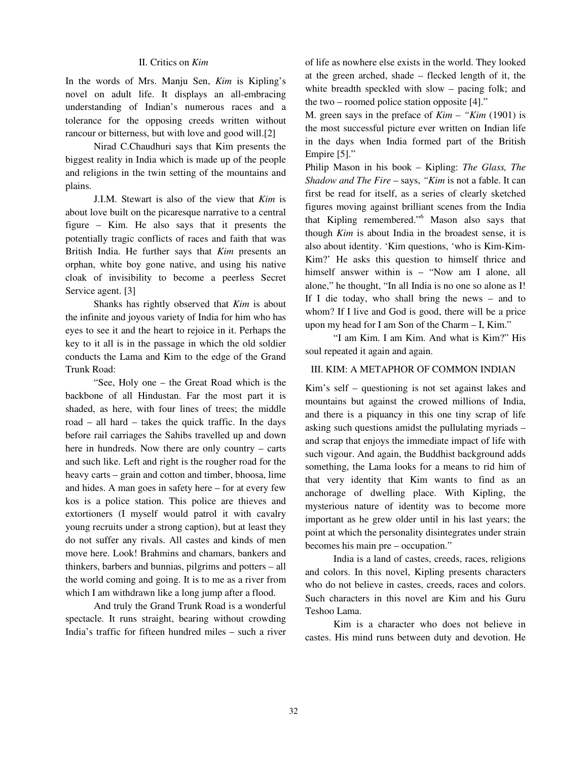# II. Critics on *Kim*

In the words of Mrs. Manju Sen, *Kim* is Kipling's novel on adult life. It displays an all-embracing understanding of Indian's numerous races and a tolerance for the opposing creeds written without rancour or bitterness, but with love and good will.[2]

Nirad C.Chaudhuri says that Kim presents the biggest reality in India which is made up of the people and religions in the twin setting of the mountains and plains.

J.I.M. Stewart is also of the view that *Kim* is about love built on the picaresque narrative to a central figure – Kim. He also says that it presents the potentially tragic conflicts of races and faith that was British India. He further says that *Kim* presents an orphan, white boy gone native, and using his native cloak of invisibility to become a peerless Secret Service agent. [3]

Shanks has rightly observed that *Kim* is about the infinite and joyous variety of India for him who has eyes to see it and the heart to rejoice in it. Perhaps the key to it all is in the passage in which the old soldier conducts the Lama and Kim to the edge of the Grand Trunk Road:

"See, Holy one – the Great Road which is the backbone of all Hindustan. Far the most part it is shaded, as here, with four lines of trees; the middle road – all hard – takes the quick traffic. In the days before rail carriages the Sahibs travelled up and down here in hundreds. Now there are only country – carts and such like. Left and right is the rougher road for the heavy carts – grain and cotton and timber, bhoosa, lime and hides. A man goes in safety here – for at every few kos is a police station. This police are thieves and extortioners (I myself would patrol it with cavalry young recruits under a strong caption), but at least they do not suffer any rivals. All castes and kinds of men move here. Look! Brahmins and chamars, bankers and thinkers, barbers and bunnias, pilgrims and potters – all the world coming and going. It is to me as a river from which I am withdrawn like a long jump after a flood.

And truly the Grand Trunk Road is a wonderful spectacle. It runs straight, bearing without crowding India's traffic for fifteen hundred miles – such a river of life as nowhere else exists in the world. They looked at the green arched, shade – flecked length of it, the white breadth speckled with slow – pacing folk; and the two – roomed police station opposite [4]."

M. green says in the preface of *Kim – "Kim* (1901) is the most successful picture ever written on Indian life in the days when India formed part of the British Empire [5]."

Philip Mason in his book – Kipling: *The Glass, The Shadow and The Fire* – says, *"Kim* is not a fable. It can first be read for itself, as a series of clearly sketched figures moving against brilliant scenes from the India that Kipling remembered."<sup>6</sup> Mason also says that though *Kim* is about India in the broadest sense, it is also about identity. 'Kim questions, 'who is Kim-Kim-Kim?' He asks this question to himself thrice and himself answer within is – "Now am I alone, all alone," he thought, "In all India is no one so alone as I! If I die today, who shall bring the news – and to whom? If I live and God is good, there will be a price upon my head for I am Son of the Charm – I, Kim."

"I am Kim. I am Kim. And what is Kim?" His soul repeated it again and again.

## III. KIM: A METAPHOR OF COMMON INDIAN

Kim's self – questioning is not set against lakes and mountains but against the crowed millions of India, and there is a piquancy in this one tiny scrap of life asking such questions amidst the pullulating myriads – and scrap that enjoys the immediate impact of life with such vigour. And again, the Buddhist background adds something, the Lama looks for a means to rid him of that very identity that Kim wants to find as an anchorage of dwelling place. With Kipling, the mysterious nature of identity was to become more important as he grew older until in his last years; the point at which the personality disintegrates under strain becomes his main pre – occupation."

India is a land of castes, creeds, races, religions and colors. In this novel, Kipling presents characters who do not believe in castes, creeds, races and colors. Such characters in this novel are Kim and his Guru Teshoo Lama.

Kim is a character who does not believe in castes. His mind runs between duty and devotion. He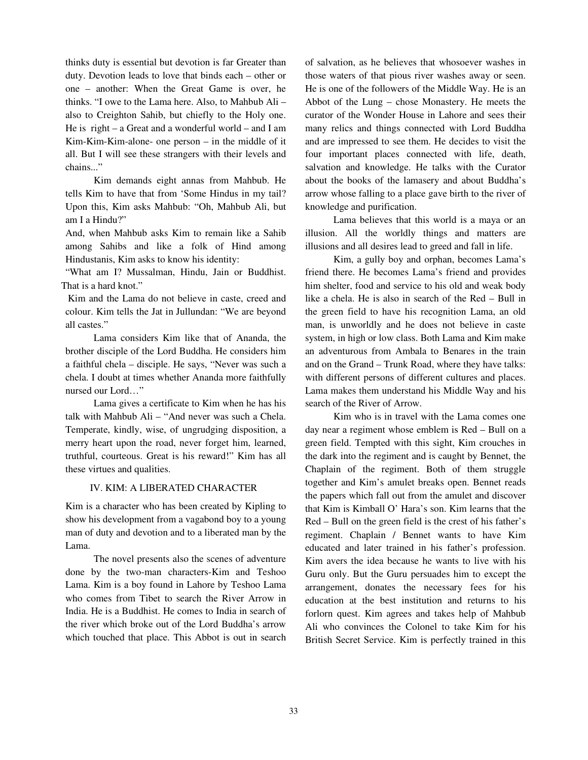thinks duty is essential but devotion is far Greater than duty. Devotion leads to love that binds each – other or one – another: When the Great Game is over, he thinks. "I owe to the Lama here. Also, to Mahbub Ali – also to Creighton Sahib, but chiefly to the Holy one. He is right – a Great and a wonderful world – and I am Kim-Kim-Kim-alone- one person – in the middle of it all. But I will see these strangers with their levels and chains..."

Kim demands eight annas from Mahbub. He tells Kim to have that from 'Some Hindus in my tail? Upon this, Kim asks Mahbub: "Oh, Mahbub Ali, but am I a Hindu?"

And, when Mahbub asks Kim to remain like a Sahib among Sahibs and like a folk of Hind among Hindustanis, Kim asks to know his identity:

"What am I? Mussalman, Hindu, Jain or Buddhist. That is a hard knot."

 Kim and the Lama do not believe in caste, creed and colour. Kim tells the Jat in Jullundan: "We are beyond all castes."

 Lama considers Kim like that of Ananda, the brother disciple of the Lord Buddha. He considers him a faithful chela – disciple. He says, "Never was such a chela. I doubt at times whether Ananda more faithfully nursed our Lord…"

 Lama gives a certificate to Kim when he has his talk with Mahbub Ali – "And never was such a Chela. Temperate, kindly, wise, of ungrudging disposition, a merry heart upon the road, never forget him, learned, truthful, courteous. Great is his reward!" Kim has all these virtues and qualities.

## IV. KIM: A LIBERATED CHARACTER

Kim is a character who has been created by Kipling to show his development from a vagabond boy to a young man of duty and devotion and to a liberated man by the Lama.

The novel presents also the scenes of adventure done by the two-man characters-Kim and Teshoo Lama. Kim is a boy found in Lahore by Teshoo Lama who comes from Tibet to search the River Arrow in India. He is a Buddhist. He comes to India in search of the river which broke out of the Lord Buddha's arrow which touched that place. This Abbot is out in search of salvation, as he believes that whosoever washes in those waters of that pious river washes away or seen. He is one of the followers of the Middle Way. He is an Abbot of the Lung – chose Monastery. He meets the curator of the Wonder House in Lahore and sees their many relics and things connected with Lord Buddha and are impressed to see them. He decides to visit the four important places connected with life, death, salvation and knowledge. He talks with the Curator about the books of the lamasery and about Buddha's arrow whose falling to a place gave birth to the river of knowledge and purification.

Lama believes that this world is a maya or an illusion. All the worldly things and matters are illusions and all desires lead to greed and fall in life.

Kim, a gully boy and orphan, becomes Lama's friend there. He becomes Lama's friend and provides him shelter, food and service to his old and weak body like a chela. He is also in search of the Red – Bull in the green field to have his recognition Lama, an old man, is unworldly and he does not believe in caste system, in high or low class. Both Lama and Kim make an adventurous from Ambala to Benares in the train and on the Grand – Trunk Road, where they have talks: with different persons of different cultures and places. Lama makes them understand his Middle Way and his search of the River of Arrow.

Kim who is in travel with the Lama comes one day near a regiment whose emblem is Red – Bull on a green field. Tempted with this sight, Kim crouches in the dark into the regiment and is caught by Bennet, the Chaplain of the regiment. Both of them struggle together and Kim's amulet breaks open. Bennet reads the papers which fall out from the amulet and discover that Kim is Kimball O' Hara's son. Kim learns that the Red – Bull on the green field is the crest of his father's regiment. Chaplain / Bennet wants to have Kim educated and later trained in his father's profession. Kim avers the idea because he wants to live with his Guru only. But the Guru persuades him to except the arrangement, donates the necessary fees for his education at the best institution and returns to his forlorn quest. Kim agrees and takes help of Mahbub Ali who convinces the Colonel to take Kim for his British Secret Service. Kim is perfectly trained in this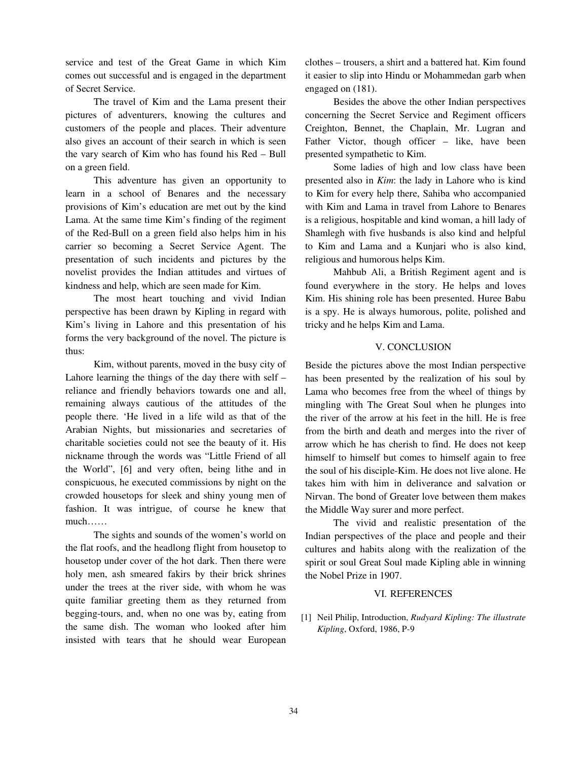service and test of the Great Game in which Kim comes out successful and is engaged in the department of Secret Service.

The travel of Kim and the Lama present their pictures of adventurers, knowing the cultures and customers of the people and places. Their adventure also gives an account of their search in which is seen the vary search of Kim who has found his Red – Bull on a green field.

This adventure has given an opportunity to learn in a school of Benares and the necessary provisions of Kim's education are met out by the kind Lama. At the same time Kim's finding of the regiment of the Red-Bull on a green field also helps him in his carrier so becoming a Secret Service Agent. The presentation of such incidents and pictures by the novelist provides the Indian attitudes and virtues of kindness and help, which are seen made for Kim.

The most heart touching and vivid Indian perspective has been drawn by Kipling in regard with Kim's living in Lahore and this presentation of his forms the very background of the novel. The picture is thus:

Kim, without parents, moved in the busy city of Lahore learning the things of the day there with self – reliance and friendly behaviors towards one and all, remaining always cautious of the attitudes of the people there. 'He lived in a life wild as that of the Arabian Nights, but missionaries and secretaries of charitable societies could not see the beauty of it. His nickname through the words was "Little Friend of all the World", [6] and very often, being lithe and in conspicuous, he executed commissions by night on the crowded housetops for sleek and shiny young men of fashion. It was intrigue, of course he knew that much……

The sights and sounds of the women's world on the flat roofs, and the headlong flight from housetop to housetop under cover of the hot dark. Then there were holy men, ash smeared fakirs by their brick shrines under the trees at the river side, with whom he was quite familiar greeting them as they returned from begging-tours, and, when no one was by, eating from the same dish. The woman who looked after him insisted with tears that he should wear European clothes – trousers, a shirt and a battered hat. Kim found it easier to slip into Hindu or Mohammedan garb when engaged on (181).

Besides the above the other Indian perspectives concerning the Secret Service and Regiment officers Creighton, Bennet, the Chaplain, Mr. Lugran and Father Victor, though officer – like, have been presented sympathetic to Kim.

Some ladies of high and low class have been presented also in *Kim*: the lady in Lahore who is kind to Kim for every help there, Sahiba who accompanied with Kim and Lama in travel from Lahore to Benares is a religious, hospitable and kind woman, a hill lady of Shamlegh with five husbands is also kind and helpful to Kim and Lama and a Kunjari who is also kind, religious and humorous helps Kim.

Mahbub Ali, a British Regiment agent and is found everywhere in the story. He helps and loves Kim. His shining role has been presented. Huree Babu is a spy. He is always humorous, polite, polished and tricky and he helps Kim and Lama.

#### V. CONCLUSION

Beside the pictures above the most Indian perspective has been presented by the realization of his soul by Lama who becomes free from the wheel of things by mingling with The Great Soul when he plunges into the river of the arrow at his feet in the hill. He is free from the birth and death and merges into the river of arrow which he has cherish to find. He does not keep himself to himself but comes to himself again to free the soul of his disciple-Kim. He does not live alone. He takes him with him in deliverance and salvation or Nirvan. The bond of Greater love between them makes the Middle Way surer and more perfect.

The vivid and realistic presentation of the Indian perspectives of the place and people and their cultures and habits along with the realization of the spirit or soul Great Soul made Kipling able in winning the Nobel Prize in 1907.

### VI. REFERENCES

[1] Neil Philip, Introduction, *Rudyard Kipling: The illustrate Kipling*, Oxford, 1986, P-9